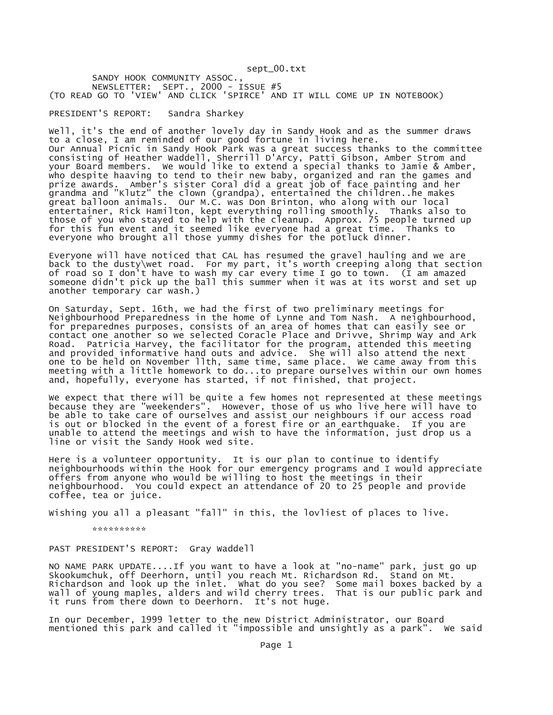sept\_00.txt

SANDY HOOK COMMUNITY ASSOC., NEWSLETTER: SEPT., 2000 - ISSUE #5 (TO READ GO TO 'VIEW' AND CLICK 'SPIRCE' AND IT WILL COME UP IN NOTEBOOK)

PRESIDENT'S REPORT: Sandra Sharkey

Well, it's the end of another lovely day in Sandy Hook and as the summer draws to a close, I am reminded of our good fortune in living here. Our Annual Picnic in Sandy Hook Park was a great success thanks to the committee consisting of Heather Waddell, Sherrill D'Arcy, Patti Gibson, Amber Strom and your Board members. We would like to extend a special thanks to Jamie & Amber, who despite haaving to tend to their new baby, organized and ran the games and prize awards. Amber's sister Coral did a great job of face painting and her grandma and "Klutz" the clown (grandpa), entertained the children..he makes great balloon animals. Our M.C. was Don Brinton, who along with our local entertainer, Rick Hamilton, kept everything rolling smoothly. Thanks also to those of you who stayed to help with the cleanup. Approx. 75 people turned up for this fun event and it seemed like everyone had a great time. Thanks to everyone who brought all those yummy dishes for the potluck dinner.

Everyone will have noticed that CAL has resumed the gravel hauling and we are back to the dusty\wet road. For my part, it's worth creeping along that section of road so I don't have to wash my car every time I go to town. (I am amazed someone didn't pick up the ball this summer when it was at its worst and set up another temporary car wash.)

On Saturday, Sept. 16th, we had the first of two preliminary meetings for Neighbourhood Preparedness in the home of Lynne and Tom Nash. A neighbourhood, for preparednes purposes, consists of an area of homes that can easily see or contact one another so we selected Coracle Place and Drivve, Shrimp Way and Ark Road. Patricia Harvey, the facilitator for the program, attended this meeting and provided informative hand outs and advice. She will also attend the next one to be held on November llth, same time, same place. We came away from this meeting with a little homework to do...to prepare ourselves within our own homes and, hopefully, everyone has started, if not finished, that project.

We expect that there will be quite a few homes not represented at these meetings because they are "weekenders". However, those of us who live here will have to be able to take care of ourselves and assist our neighbours if our access road is out or blocked in the event of a forest fire or an earthquake. If you are unable to attend the meetings and wish to have the information, just drop us a line or visit the Sandy Hook wed site.

Here is a volunteer opportunity. It is our plan to continue to identify neighbourhoods within the Hook for our emergency programs and I would appreciate offers from anyone who would be willing to host the meetings in their neighbourhood. You could expect an attendance of 20 to 25 people and provide coffee, tea or juice.

Wishing you all a pleasant "fall" in this, the lovliest of places to live.

\*\*\*\*\*\*\*\*\*\*

## PAST PRESIDENT'S REPORT: Gray Waddell

NO NAME PARK UPDATE....If you want to have a look at "no-name" park, just go up Skookumchuk, off Deerhorn, until you reach Mt. Richardson Rd. Stand on Mt. Richardson and look up the inlet. What do you see? Some mail boxes backed by a wall of young maples, alders and wild cherry trees. That is our public park and it runs from there down to Deerhorn. It's not huge.

In our December, 1999 letter to the new District Administrator, our Board mentioned this park and called it "impossible and unsightly as a park". We said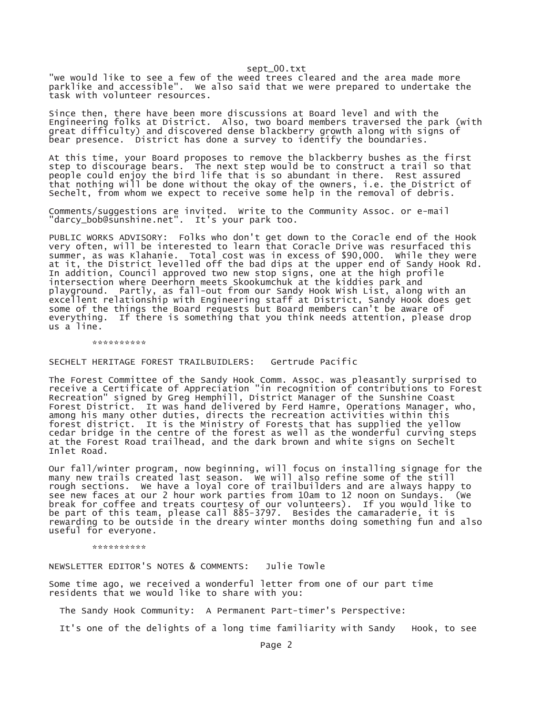sept\_00.txt

"we would like to see a few of the weed trees cleared and the area made more parklike and accessible". We also said that we were prepared to undertake the task with volunteer resources.

Since then, there have been more discussions at Board level and with the Engineering folks at District. Also, two board members traversed the park (with great difficulty) and discovered dense blackberry growth along with signs of bear presence. District has done a survey to identify the boundaries.

At this time, your Board proposes to remove the blackberry bushes as the first step to discourage bears. The next step would be to construct a trail so that people could enjoy the bird life that is so abundant in there. Rest assured that nothing will be done without the okay of the owners, i.e. the District of Sechelt, from whom we expect to receive some help in the removal of debris.

Comments/suggestions are invited. Write to the Community Assoc. or e-mail "darcy\_bob@sunshine.net". It's your park too.

PUBLIC WORKS ADVISORY: Folks who don't get down to the Coracle end of the Hook very often, will be interested to learn that Coracle Drive was resurfaced this summer, as was Klahanie. Total cost was in excess of \$90,000. While they were at it, the District levelled off the bad dips at the upper end of Sandy Hook Rd. In addition, Council approved two new stop signs, one at the high profile intersection where Deerhorn meets Skookumchuk at the kiddies park and playground. Partly, as fall-out from our Sandy Hook Wish List, along with an excellent relationship with Engineering staff at District, Sandy Hook does get some of the things the Board requests but Board members can't be aware of everything. If there is something that you think needs attention, please drop us a line.

\*\*\*\*\*\*\*\*\*\*

SECHELT HERITAGE FOREST TRAILBUIDLERS: Gertrude Pacific

The Forest Committee of the Sandy Hook Comm. Assoc. was pleasantly surprised to receive a Certificate of Appreciation "in recognition of contributions to Forest Recreation" signed by Greg Hemphill, District Manager of the Sunshine Coast Forest District. It was hand delivered by Ferd Hamre, Operations Manager, who, among his many other duties, directs the recreation activities within this forest district. It is the Ministry of Forests that has supplied the yellow cedar bridge in the centre of the forest as well as the wonderful curving steps at the Forest Road trailhead, and the dark brown and white signs on Sechelt Inlet Road.

Our fall/winter program, now beginning, will focus on installing signage for the many new trails created last season. We will also refine some of the still rough sections. We have a loyal core of trailbuilders and are always happy to see new faces at our 2 hour work parties from 10am to 12 noon on Sundays. (We break for coffee and treats courtesy of our volunteers). If you would like to be part of this team, please call 885-3797. Besides the camaraderie, it is rewarding to be outside in the dreary winter months doing something fun and also useful for everyone.

\*\*\*\*\*\*\*\*\*

NEWSLETTER EDITOR'S NOTES & COMMENTS: Julie Towle

Some time ago, we received a wonderful letter from one of our part time residents that we would like to share with you:

The Sandy Hook Community: A Permanent Part-timer's Perspective:

It's one of the delights of a long time familiarity with Sandy Hook, to see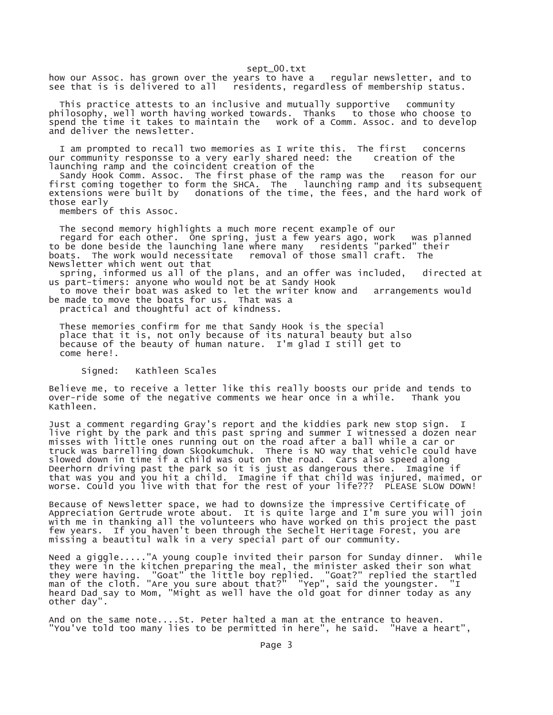sept\_00.txt

how our Assoc. has grown over the years to have a regular newsletter, and to see that is is delivered to all residents, regardless of membership status. residents, regardless of membership status.

 This practice attests to an inclusive and mutually supportive community philosophy, well worth having worked towards. Thanks to those who choose to spend the time it takes to maintain the work of a Comm. Assoc. and to develop and deliver the newsletter.

 I am prompted to recall two memories as I write this. The first concerns our community responsse to a very early shared need: the launching ramp and the coincident creation of the

 Sandy Hook Comm. Assoc. The first phase of the ramp was the reason for our first coming together to form the SHCA. The launching ramp and its subsequent extensions were built by donations of the time, the fees, and the hard work of those early

members of this Assoc.

 The second memory highlights a much more recent example of our regard for each other. One spring, just a few years ago, work was planned to be done beside the launching lane where many residents "parked" their boats. The work would necessitate removal of those small craft. The Newsletter which went out that

 spring, informed us all of the plans, and an offer was included, directed at us part-timers: anyone who would not be at Sandy Hook

 to move their boat was asked to let the writer know and arrangements would be made to move the boats for us. That was a

practical and thoughtful act of kindness.

 These memories confirm for me that Sandy Hook is the special place that it is, not only because of its natural beauty but also because of the beauty of human nature. I'm glad I still get to come here!.

## Signed: Kathleen Scales

Believe me, to receive a letter like this really boosts our pride and tends to over-ride some of the negative comments we hear once in a while. Thank you Kathleen.

Just a comment regarding Gray's report and the kiddies park new stop sign. I live right by the park and this past spring and summer I witnessed a dozen near misses with little ones running out on the road after a ball while a car or truck was barrelling down Skookumchuk. There is NO way that vehicle could have slowed down in time if a child was out on the road. Cars also speed along Deerhorn driving past the park so it is just as dangerous there. Imagine if that was you and you hit a child. Imagine if that child was injured, maimed, or worse. Could you live with that for the rest of your life??? PLEASE SLOW DOWN!

Because of Newsletter space, we had to downsize the impressive Certificate of Appreciation Gertrude wrote about. It is quite large and I'm sure you will join with me in thanking all the volunteers who have worked on this project the past few years. If you haven't been through the Sechelt Heritage Forest, you are missing a beautitul walk in a very special part of our community.

Need a giggle....."A young couple invited their parson for Sunday dinner. While they were in the kitchen preparing the meal, the minister asked their son what they were having. "Goat" the little boy replied. "Goat?" replied the startled man of the cloth. "Are you sure about that?" "Yep", said the youngster. "I heard Dad say to Mom, "Might as well have the old goat for dinner today as any other day".

And on the same note....St. Peter halted a man at the entrance to heaven. "You've told too many lies to be permitted in here", he said. "Have a heart",